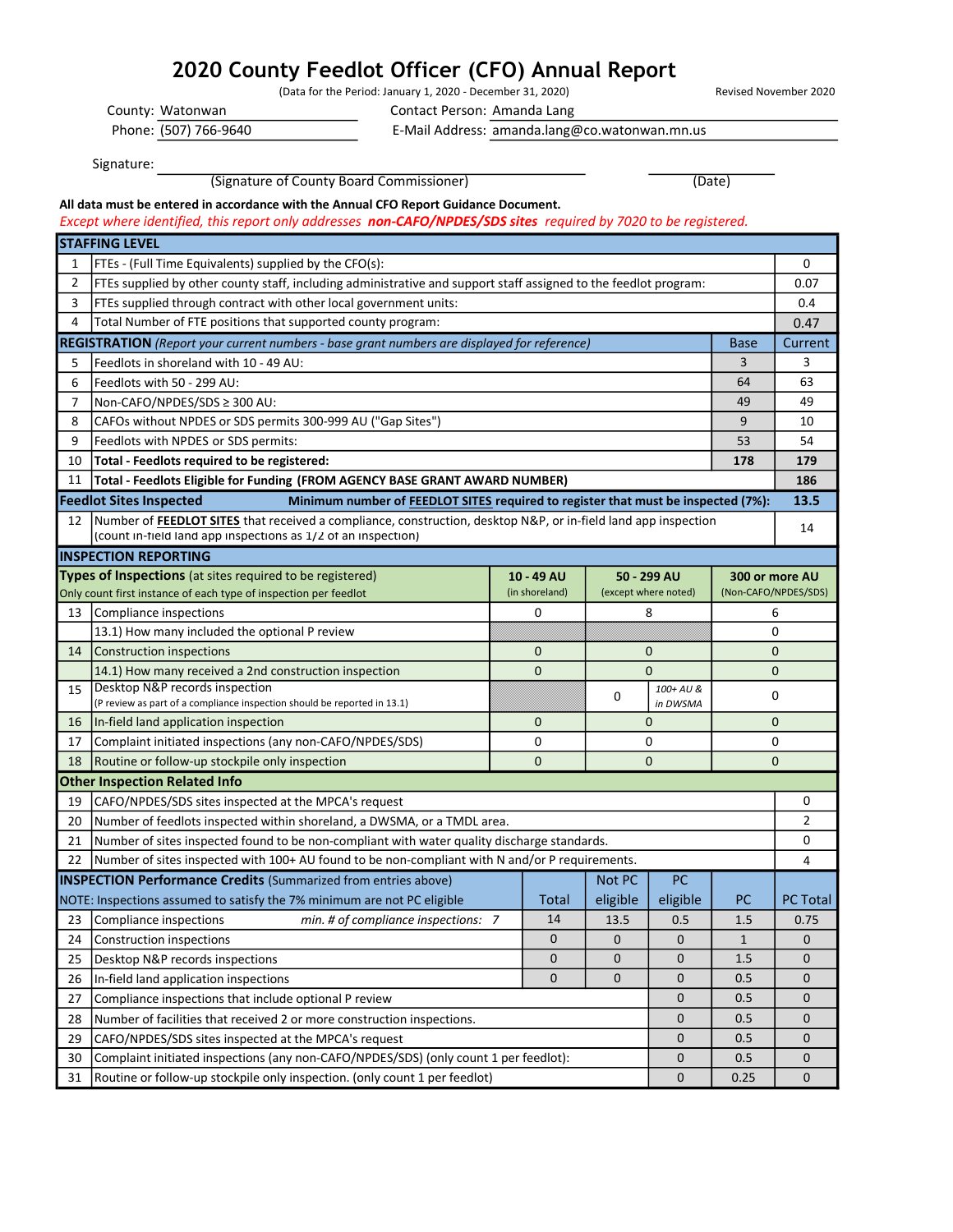## 2020 County Feedlot Officer (CFO) Annual Report

(Data for the Period: January 1, 2020 - December 31, 2020) Revised November 2020

Contact Person: Amanda Lang

Phone: (507) 766-9640

County: Watonwan

E-Mail Address: amanda.lang@co.watonwan.mn.us

Signature:

(Signature of County Board Commissioner) (Date)

All data must be entered in accordance with the Annual CFO Report Guidance Document.

Except where identified, this report only addresses non-CAFO/NPDES/SDS sites required by 7020 to be registered.

|                | <b>STAFFING LEVEL</b>                                                                                                                                                                  |  |              |             |             |                      |                 |  |
|----------------|----------------------------------------------------------------------------------------------------------------------------------------------------------------------------------------|--|--------------|-------------|-------------|----------------------|-----------------|--|
| 1              | <b>FTEs - (Full Time Equivalents) supplied by the CFO(s):</b>                                                                                                                          |  |              |             |             |                      | 0               |  |
| $\overline{2}$ | FTEs supplied by other county staff, including administrative and support staff assigned to the feedlot program:                                                                       |  |              |             |             |                      | 0.07            |  |
| 3              | FTEs supplied through contract with other local government units:                                                                                                                      |  |              |             |             |                      | 0.4             |  |
| 4              | Total Number of FTE positions that supported county program:                                                                                                                           |  |              |             |             |                      | 0.47            |  |
|                | <b>REGISTRATION</b> (Report your current numbers - base grant numbers are displayed for reference)                                                                                     |  |              |             |             | <b>Base</b>          | Current         |  |
| 5              | Feedlots in shoreland with 10 - 49 AU:                                                                                                                                                 |  |              |             |             | 3                    | 3               |  |
| 6              | Feedlots with 50 - 299 AU:                                                                                                                                                             |  |              |             |             | 64                   | 63              |  |
| 7              | Non-CAFO/NPDES/SDS ≥ 300 AU:                                                                                                                                                           |  |              |             |             | 49                   | 49              |  |
| 8              | CAFOs without NPDES or SDS permits 300-999 AU ("Gap Sites")                                                                                                                            |  |              |             |             | 9                    | 10              |  |
| 9              | Feedlots with NPDES or SDS permits:                                                                                                                                                    |  |              |             |             | 53                   | 54              |  |
| 10             | Total - Feedlots required to be registered:                                                                                                                                            |  |              |             |             | 178                  | 179             |  |
| 11             | Total - Feedlots Eligible for Funding (FROM AGENCY BASE GRANT AWARD NUMBER)                                                                                                            |  |              |             |             |                      | 186             |  |
|                | <b>Feedlot Sites Inspected</b><br>Minimum number of FEEDLOT SITES required to register that must be inspected (7%):                                                                    |  |              |             |             |                      | 13.5            |  |
| 12             | Number of <b>FEEDLOT SITES</b> that received a compliance, construction, desktop N&P, or in-field land app inspection<br>(count in-field land app inspections as 1/2 of an inspection) |  |              |             |             |                      | 14              |  |
|                | <b>INSPECTION REPORTING</b>                                                                                                                                                            |  |              |             |             |                      |                 |  |
|                | Types of Inspections (at sites required to be registered)                                                                                                                              |  | 10 - 49 AU   |             | 50 - 299 AU | 300 or more AU       |                 |  |
|                | (in shoreland)<br>(except where noted)<br>Only count first instance of each type of inspection per feedlot                                                                             |  |              |             |             | (Non-CAFO/NPDES/SDS) |                 |  |
| 13             | Compliance inspections                                                                                                                                                                 |  | 0            |             | 8           |                      | 6               |  |
|                | 13.1) How many included the optional P review                                                                                                                                          |  |              |             |             |                      | 0               |  |
| 14             | Construction inspections                                                                                                                                                               |  | $\mathbf 0$  |             | 0           | $\mathbf{0}$         |                 |  |
|                | 14.1) How many received a 2nd construction inspection                                                                                                                                  |  | 0            | 0           |             | 0                    |                 |  |
| 15             | Desktop N&P records inspection                                                                                                                                                         |  |              | 0           | 100+ AU &   |                      | 0               |  |
|                | (P review as part of a compliance inspection should be reported in 13.1)                                                                                                               |  |              |             | in DWSMA    |                      |                 |  |
| 16             | In-field land application inspection                                                                                                                                                   |  | $\mathbf 0$  |             | 0           |                      | $\mathbf{0}$    |  |
| 17             | Complaint initiated inspections (any non-CAFO/NPDES/SDS)                                                                                                                               |  | 0            | 0           |             |                      | 0               |  |
| 18             | Routine or follow-up stockpile only inspection                                                                                                                                         |  | $\mathbf{0}$ |             | 0           |                      | $\mathbf{0}$    |  |
|                | <b>Other Inspection Related Info</b>                                                                                                                                                   |  |              |             |             |                      |                 |  |
| 19             | CAFO/NPDES/SDS sites inspected at the MPCA's request                                                                                                                                   |  |              |             |             |                      | 0               |  |
| 20             | Number of feedlots inspected within shoreland, a DWSMA, or a TMDL area.                                                                                                                |  |              |             |             |                      | 2               |  |
| 21             | Number of sites inspected found to be non-compliant with water quality discharge standards.                                                                                            |  |              |             |             |                      | 0               |  |
| 22             | Number of sites inspected with 100+ AU found to be non-compliant with N and/or P requirements.                                                                                         |  |              |             |             |                      | 4               |  |
|                | <b>INSPECTION Performance Credits (Summarized from entries above)</b>                                                                                                                  |  |              | Not PC      | <b>PC</b>   |                      |                 |  |
|                | NOTE: Inspections assumed to satisfy the 7% minimum are not PC eligible                                                                                                                |  | Total        | eligible    | eligible    | PC                   | <b>PC Total</b> |  |
| 23             | Compliance inspections<br>min. # of compliance inspections: 7                                                                                                                          |  | 14           | 13.5        | 0.5         | 1.5                  | 0.75            |  |
| 24             | Construction inspections                                                                                                                                                               |  | U            | $\mathbf 0$ | $\mathbf 0$ | 1                    | $\mathsf{U}$    |  |
| 25             | Desktop N&P records inspections                                                                                                                                                        |  | 0            | 0           | 0           | 1.5                  | 0               |  |
| 26             | In-field land application inspections                                                                                                                                                  |  | $\mathbf 0$  | 0           | 0           | 0.5                  | 0               |  |
| 27             | Compliance inspections that include optional P review                                                                                                                                  |  |              |             | 0           | 0.5                  | 0               |  |
| 28             | Number of facilities that received 2 or more construction inspections.                                                                                                                 |  |              |             | 0           | 0.5                  | 0               |  |
| 29             | CAFO/NPDES/SDS sites inspected at the MPCA's request                                                                                                                                   |  |              |             |             | 0.5                  | $\mathbf 0$     |  |
| 30             | Complaint initiated inspections (any non-CAFO/NPDES/SDS) (only count 1 per feedlot):                                                                                                   |  |              |             | 0           | 0.5                  | 0               |  |
| 31             | Routine or follow-up stockpile only inspection. (only count 1 per feedlot)                                                                                                             |  |              |             | 0           | 0.25                 | $\pmb{0}$       |  |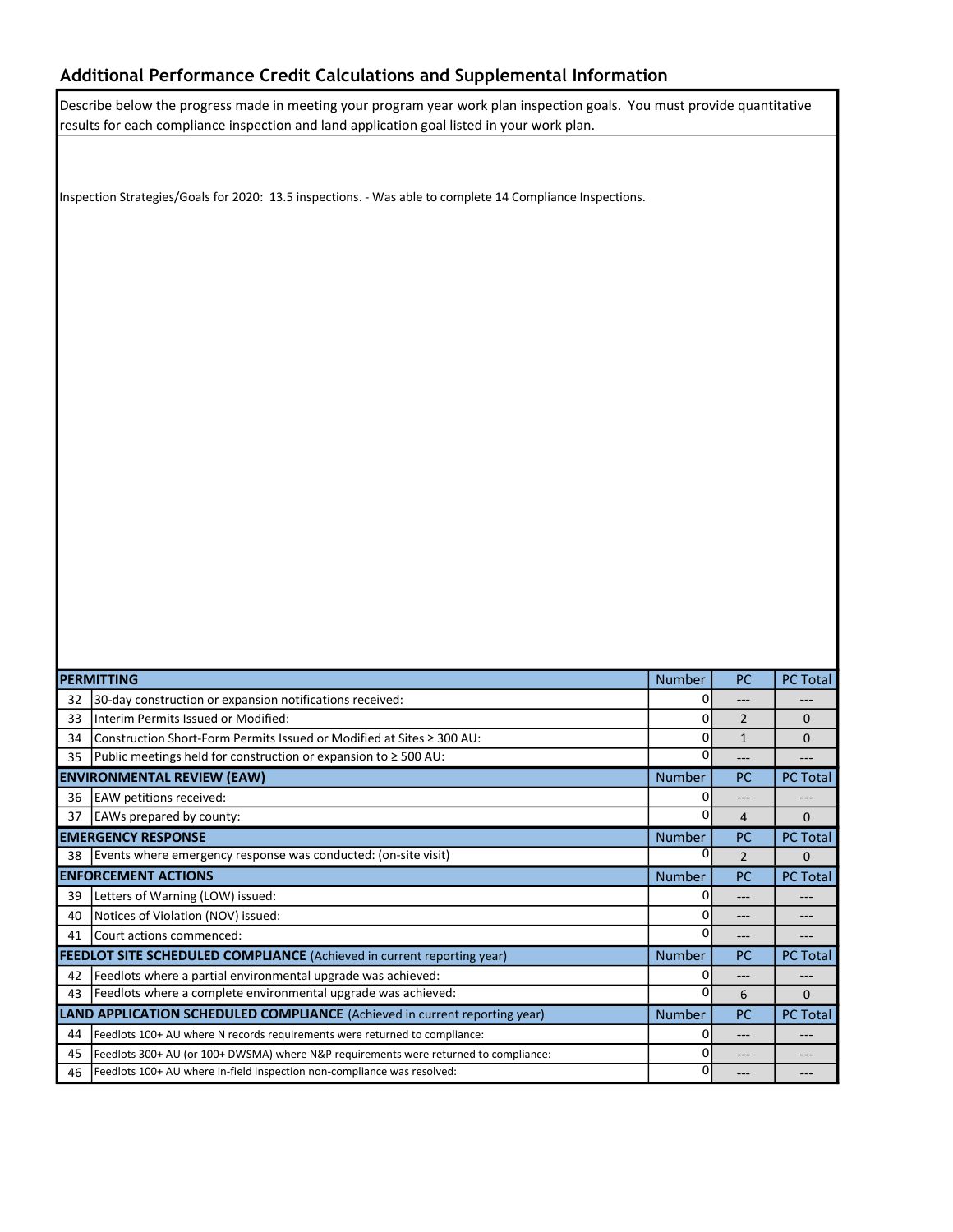## Additional Performance Credit Calculations and Supplemental Information

Describe below the progress made in meeting your program year work plan inspection goals. You must provide quantitative results for each compliance inspection and land application goal listed in your work plan.

Inspection Strategies/Goals for 2020: 13.5 inspections. - Was able to complete 14 Compliance Inspections.

| <b>PERMITTING</b>                                                             |                                                                                      | <b>Number</b> | <b>PC</b>      | <b>PC Total</b> |
|-------------------------------------------------------------------------------|--------------------------------------------------------------------------------------|---------------|----------------|-----------------|
| 32                                                                            | 30-day construction or expansion notifications received:                             | O             | ---            |                 |
| 33                                                                            | Interim Permits Issued or Modified:                                                  | 0             | $\overline{2}$ | $\Omega$        |
| 34                                                                            | Construction Short-Form Permits Issued or Modified at Sites $\geq 300$ AU:           | 0             | $\mathbf{1}$   | $\Omega$        |
| 35                                                                            | Public meetings held for construction or expansion to $\geq$ 500 AU:                 | ŋ             | ---            |                 |
| <b>ENVIRONMENTAL REVIEW (EAW)</b>                                             |                                                                                      |               | PC             | <b>PC Total</b> |
| 36                                                                            | <b>EAW</b> petitions received:                                                       | O             | $---$          |                 |
| 37                                                                            | EAWs prepared by county:                                                             | O             | 4              | $\Omega$        |
| <b>EMERGENCY RESPONSE</b>                                                     |                                                                                      | <b>Number</b> | <b>PC</b>      | <b>PC Total</b> |
| 38                                                                            | Events where emergency response was conducted: (on-site visit)                       |               | $\overline{2}$ | $\Omega$        |
| <b>ENFORCEMENT ACTIONS</b>                                                    |                                                                                      | <b>Number</b> | PC             | <b>PC Total</b> |
| 39                                                                            | Letters of Warning (LOW) issued:                                                     | 0             | ---            |                 |
| 40                                                                            | Notices of Violation (NOV) issued:                                                   | ŋ             | $---$          | ---             |
| 41                                                                            | Court actions commenced:                                                             | n             | ---            |                 |
| <b>FEEDLOT SITE SCHEDULED COMPLIANCE</b> (Achieved in current reporting year) |                                                                                      | <b>Number</b> | PC             | <b>PC Total</b> |
| 42                                                                            | Feedlots where a partial environmental upgrade was achieved:                         | O             | $---$          |                 |
| 43                                                                            | Feedlots where a complete environmental upgrade was achieved:                        | 0             | 6              | $\Omega$        |
| LAND APPLICATION SCHEDULED COMPLIANCE (Achieved in current reporting year)    |                                                                                      |               | PC             | <b>PC Total</b> |
| 44                                                                            | Feedlots 100+ AU where N records requirements were returned to compliance:           | 0             | $---$          | ---             |
| 45                                                                            | Feedlots 300+ AU (or 100+ DWSMA) where N&P requirements were returned to compliance: | ŋ             | $---$          |                 |
| 46                                                                            | Feedlots 100+ AU where in-field inspection non-compliance was resolved:              | 0             | ---            |                 |